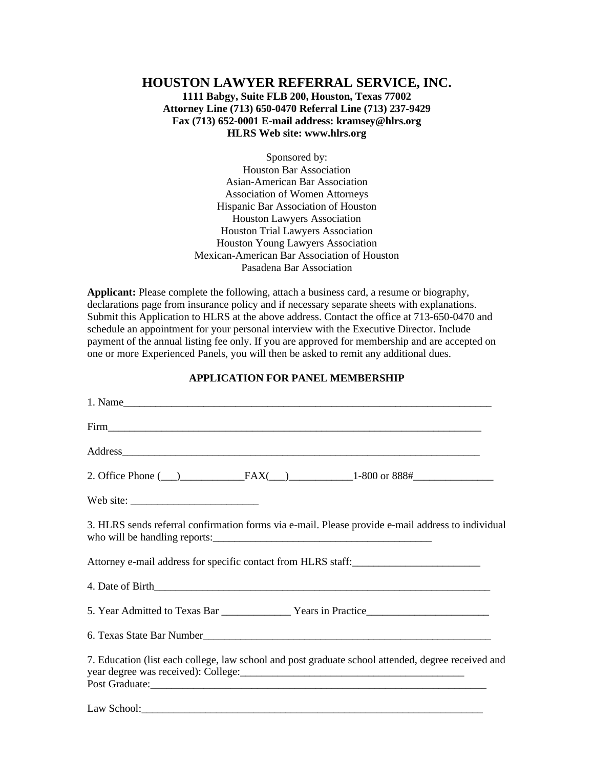# **HOUSTON LAWYER REFERRAL SERVICE, INC. 1111 Babgy, Suite FLB 200, Houston, Texas 77002 Attorney Line (713) 650-0470 Referral Line (713) 237-9429 Fax (713) 652-0001 E-mail address: kramsey@hlrs.org HLRS Web site: www.hlrs.org**

Sponsored by: Houston Bar Association Asian-American Bar Association Association of Women Attorneys Hispanic Bar Association of Houston Houston Lawyers Association Houston Trial Lawyers Association Houston Young Lawyers Association Mexican-American Bar Association of Houston Pasadena Bar Association

**Applicant:** Please complete the following, attach a business card, a resume or biography, declarations page from insurance policy and if necessary separate sheets with explanations. Submit this Application to HLRS at the above address. Contact the office at 713-650-0470 and schedule an appointment for your personal interview with the Executive Director. Include payment of the annual listing fee only. If you are approved for membership and are accepted on one or more Experienced Panels, you will then be asked to remit any additional dues.

### **APPLICATION FOR PANEL MEMBERSHIP**

| 1. Name                                                                                                                                                                                                                                                                                                                                                                                                                                      |
|----------------------------------------------------------------------------------------------------------------------------------------------------------------------------------------------------------------------------------------------------------------------------------------------------------------------------------------------------------------------------------------------------------------------------------------------|
|                                                                                                                                                                                                                                                                                                                                                                                                                                              |
|                                                                                                                                                                                                                                                                                                                                                                                                                                              |
|                                                                                                                                                                                                                                                                                                                                                                                                                                              |
| Web site: $\frac{1}{\frac{1}{2} \cdot \frac{1}{2} \cdot \frac{1}{2} \cdot \frac{1}{2} \cdot \frac{1}{2} \cdot \frac{1}{2} \cdot \frac{1}{2} \cdot \frac{1}{2} \cdot \frac{1}{2} \cdot \frac{1}{2} \cdot \frac{1}{2} \cdot \frac{1}{2} \cdot \frac{1}{2} \cdot \frac{1}{2} \cdot \frac{1}{2} \cdot \frac{1}{2} \cdot \frac{1}{2} \cdot \frac{1}{2} \cdot \frac{1}{2} \cdot \frac{1}{2} \cdot \frac{1}{2} \cdot \frac{1}{2} \cdot \frac{1}{2}$ |
| 3. HLRS sends referral confirmation forms via e-mail. Please provide e-mail address to individual                                                                                                                                                                                                                                                                                                                                            |
| Attorney e-mail address for specific contact from HLRS staff:                                                                                                                                                                                                                                                                                                                                                                                |
|                                                                                                                                                                                                                                                                                                                                                                                                                                              |
|                                                                                                                                                                                                                                                                                                                                                                                                                                              |
|                                                                                                                                                                                                                                                                                                                                                                                                                                              |
| 7. Education (list each college, law school and post graduate school attended, degree received and                                                                                                                                                                                                                                                                                                                                           |
| Law School:                                                                                                                                                                                                                                                                                                                                                                                                                                  |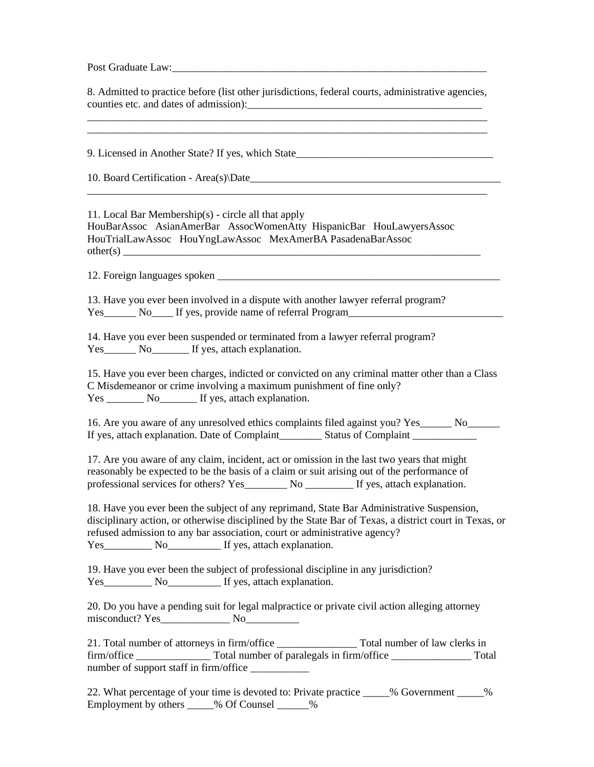Post Graduate Law:

8. Admitted to practice before (list other jurisdictions, federal courts, administrative agencies, counties etc. and dates of admission):

\_\_\_\_\_\_\_\_\_\_\_\_\_\_\_\_\_\_\_\_\_\_\_\_\_\_\_\_\_\_\_\_\_\_\_\_\_\_\_\_\_\_\_\_\_\_\_\_\_\_\_\_\_\_\_\_\_\_\_\_\_\_\_\_\_\_\_\_\_\_\_\_\_\_\_

\_\_\_\_\_\_\_\_\_\_\_\_\_\_\_\_\_\_\_\_\_\_\_\_\_\_\_\_\_\_\_\_\_\_\_\_\_\_\_\_\_\_\_\_\_\_\_\_\_\_\_\_\_\_\_\_\_\_\_\_\_\_\_\_\_\_\_\_\_\_\_\_\_\_\_

9. Licensed in Another State? If yes, which State\_\_\_\_\_\_\_\_\_\_\_\_\_\_\_\_\_\_\_\_\_\_\_\_\_\_\_\_\_\_\_\_

10. Board Certification - Area(s)\Date

11. Local Bar Membership(s) - circle all that apply HouBarAssoc AsianAmerBar AssocWomenAtty HispanicBar HouLawyersAssoc HouTrialLawAssoc HouYngLawAssoc MexAmerBA PasadenaBarAssoc  $other(s)$ 

12. Foreign languages spoken

13. Have you ever been involved in a dispute with another lawyer referral program? Yes\_\_\_\_\_\_ No\_\_\_\_ If yes, provide name of referral Program\_\_\_\_\_\_\_\_\_\_\_\_\_\_\_\_\_\_\_\_\_\_\_

14. Have you ever been suspended or terminated from a lawyer referral program? Yes\_\_\_\_\_\_ No\_\_\_\_\_\_ If yes, attach explanation.

15. Have you ever been charges, indicted or convicted on any criminal matter other than a Class C Misdemeanor or crime involving a maximum punishment of fine only? Yes No If yes, attach explanation.

16. Are you aware of any unresolved ethics complaints filed against you? Yes\_\_\_\_\_\_ No\_\_\_\_\_\_ If yes, attach explanation. Date of Complaint \_\_\_\_\_\_\_\_\_ Status of Complaint \_\_\_\_\_\_\_\_\_\_\_

17. Are you aware of any claim, incident, act or omission in the last two years that might reasonably be expected to be the basis of a claim or suit arising out of the performance of professional services for others? Yes\_\_\_\_\_\_\_\_ No \_\_\_\_\_\_\_\_\_ If yes, attach explanation.

18. Have you ever been the subject of any reprimand, State Bar Administrative Suspension, disciplinary action, or otherwise disciplined by the State Bar of Texas, a district court in Texas, or refused admission to any bar association, court or administrative agency? Yes No If yes, attach explanation.

19. Have you ever been the subject of professional discipline in any jurisdiction? Yes No If yes, attach explanation.

20. Do you have a pending suit for legal malpractice or private civil action alleging attorney misconduct? Yes\_\_\_\_\_\_\_\_\_\_\_\_\_ No\_\_\_\_\_\_\_\_\_\_

21. Total number of attorneys in firm/office \_\_\_\_\_\_\_\_\_\_\_\_\_\_\_ Total number of law clerks in firm/office \_\_\_\_\_\_\_\_\_\_\_\_\_\_ Total number of paralegals in firm/office \_\_\_\_\_\_\_\_\_\_\_\_\_\_\_ Total number of support staff in firm/office

22. What percentage of your time is devoted to: Private practice \_\_\_\_\_% Government \_\_\_\_ % Employment by others \_\_\_\_\_% Of Counsel \_\_\_\_\_\_%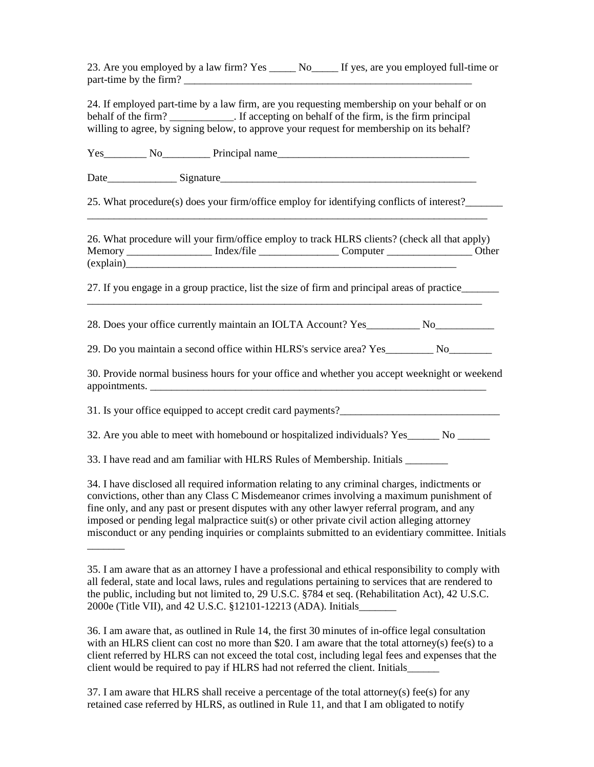23. Are you employed by a law firm? Yes \_\_\_\_\_ No\_\_\_\_\_ If yes, are you employed full-time or part-time by the firm?

24. If employed part-time by a law firm, are you requesting membership on your behalf or on behalf of the firm? \_\_\_\_\_\_\_\_\_\_\_. If accepting on behalf of the firm, is the firm principal willing to agree, by signing below, to approve your request for membership on its behalf?

Yes\_\_\_\_\_\_\_\_ No\_\_\_\_\_\_\_\_\_ Principal name\_\_\_\_\_\_\_\_\_\_\_\_\_\_\_\_\_\_\_\_\_\_\_\_\_\_\_\_\_\_\_\_\_\_\_\_

Date Signature

25. What procedure(s) does your firm/office employ for identifying conflicts of interest?\_\_\_\_\_\_\_ \_\_\_\_\_\_\_\_\_\_\_\_\_\_\_\_\_\_\_\_\_\_\_\_\_\_\_\_\_\_\_\_\_\_\_\_\_\_\_\_\_\_\_\_\_\_\_\_\_\_\_\_\_\_\_\_\_\_\_\_\_\_\_\_\_\_\_\_\_\_\_\_\_\_\_

26. What procedure will your firm/office employ to track HLRS clients? (check all that apply) Memory \_\_\_\_\_\_\_\_\_\_\_\_\_\_\_\_\_\_\_\_ Index/file \_\_\_\_\_\_\_\_\_\_\_\_\_\_\_\_\_\_\_Computer \_\_\_\_\_\_\_\_\_\_\_\_\_\_\_\_\_\_\_\_Other (explain)\_\_\_\_\_\_\_\_\_\_\_\_\_\_\_\_\_\_\_\_\_\_\_\_\_\_\_\_\_\_\_\_\_\_\_\_\_\_\_\_\_\_\_\_\_\_\_\_\_\_\_\_\_\_\_\_\_\_\_\_\_\_

27. If you engage in a group practice, list the size of firm and principal areas of practice\_\_\_\_\_\_\_ \_\_\_\_\_\_\_\_\_\_\_\_\_\_\_\_\_\_\_\_\_\_\_\_\_\_\_\_\_\_\_\_\_\_\_\_\_\_\_\_\_\_\_\_\_\_\_\_\_\_\_\_\_\_\_\_\_\_\_\_\_\_\_\_\_\_\_\_\_\_\_\_\_\_

28. Does your office currently maintain an IOLTA Account? Yes No

29. Do you maintain a second office within HLRS's service area? Yes\_\_\_\_\_\_\_\_\_ No\_\_\_\_\_\_\_\_

30. Provide normal business hours for your office and whether you accept weeknight or weekend appointments. \_\_\_\_\_\_\_\_\_\_\_\_\_\_\_\_\_\_\_\_\_\_\_\_\_\_\_\_\_\_\_\_\_\_\_\_\_\_\_\_\_\_\_\_\_\_\_\_\_\_\_\_\_\_\_\_\_\_\_\_\_\_\_

31. Is your office equipped to accept credit card payments?

32. Are you able to meet with homebound or hospitalized individuals? Yes No

33. I have read and am familiar with HLRS Rules of Membership. Initials

 $\overline{\phantom{a}}$ 

34. I have disclosed all required information relating to any criminal charges, indictments or convictions, other than any Class C Misdemeanor crimes involving a maximum punishment of fine only, and any past or present disputes with any other lawyer referral program, and any imposed or pending legal malpractice suit(s) or other private civil action alleging attorney misconduct or any pending inquiries or complaints submitted to an evidentiary committee. Initials

36. I am aware that, as outlined in Rule 14, the first 30 minutes of in-office legal consultation with an HLRS client can cost no more than \$20. I am aware that the total attorney(s) fee(s) to a client referred by HLRS can not exceed the total cost, including legal fees and expenses that the client would be required to pay if HLRS had not referred the client. Initials\_\_\_\_\_\_

37. I am aware that HLRS shall receive a percentage of the total attorney(s) fee(s) for any retained case referred by HLRS, as outlined in Rule 11, and that I am obligated to notify

<sup>35.</sup> I am aware that as an attorney I have a professional and ethical responsibility to comply with all federal, state and local laws, rules and regulations pertaining to services that are rendered to the public, including but not limited to, 29 U.S.C. §784 et seq. (Rehabilitation Act), 42 U.S.C. 2000e (Title VII), and 42 U.S.C. §12101-12213 (ADA). Initials\_\_\_\_\_\_\_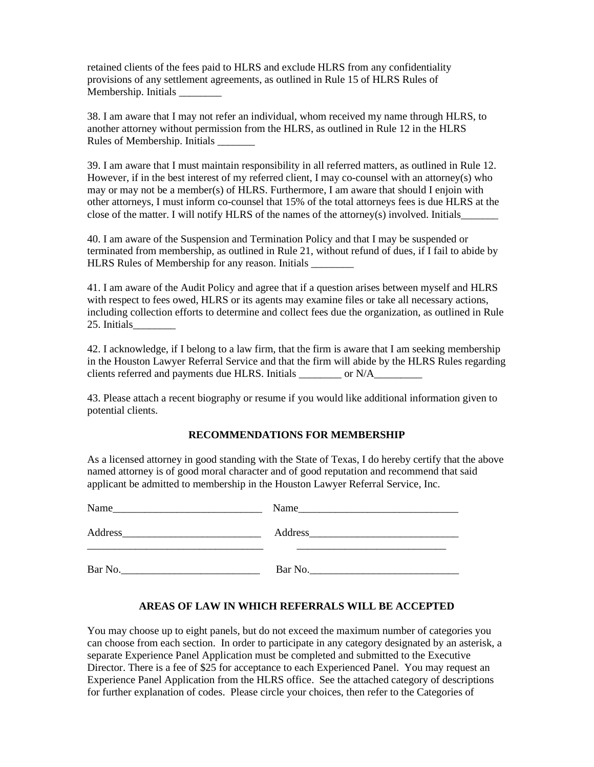retained clients of the fees paid to HLRS and exclude HLRS from any confidentiality provisions of any settlement agreements, as outlined in Rule 15 of HLRS Rules of Membership. Initials \_\_\_\_\_\_\_\_

38. I am aware that I may not refer an individual, whom received my name through HLRS, to another attorney without permission from the HLRS, as outlined in Rule 12 in the HLRS Rules of Membership. Initials \_\_\_\_\_\_\_

39. I am aware that I must maintain responsibility in all referred matters, as outlined in Rule 12. However, if in the best interest of my referred client, I may co-counsel with an attorney(s) who may or may not be a member(s) of HLRS. Furthermore, I am aware that should I enjoin with other attorneys, I must inform co-counsel that 15% of the total attorneys fees is due HLRS at the close of the matter. I will notify HLRS of the names of the attorney(s) involved. Initials

40. I am aware of the Suspension and Termination Policy and that I may be suspended or terminated from membership, as outlined in Rule 21, without refund of dues, if I fail to abide by HLRS Rules of Membership for any reason. Initials

41. I am aware of the Audit Policy and agree that if a question arises between myself and HLRS with respect to fees owed, HLRS or its agents may examine files or take all necessary actions, including collection efforts to determine and collect fees due the organization, as outlined in Rule 25. Initials

42. I acknowledge, if I belong to a law firm, that the firm is aware that I am seeking membership in the Houston Lawyer Referral Service and that the firm will abide by the HLRS Rules regarding clients referred and payments due HLRS. Initials \_\_\_\_\_\_\_\_ or N/A\_\_\_\_\_\_\_\_\_\_\_\_\_\_\_\_\_

43. Please attach a recent biography or resume if you would like additional information given to potential clients.

#### **RECOMMENDATIONS FOR MEMBERSHIP**

As a licensed attorney in good standing with the State of Texas, I do hereby certify that the above named attorney is of good moral character and of good reputation and recommend that said applicant be admitted to membership in the Houston Lawyer Referral Service, Inc.

| Name    | Name                                                                                                                   |
|---------|------------------------------------------------------------------------------------------------------------------------|
|         |                                                                                                                        |
| Address | Address                                                                                                                |
|         | <u> 1989 - Jan Samuel Barbara, manala</u> tar a basar da basar da basar da basar da basar da basar da basar da basar d |
| Bar No. | Bar No.                                                                                                                |

#### **AREAS OF LAW IN WHICH REFERRALS WILL BE ACCEPTED**

You may choose up to eight panels, but do not exceed the maximum number of categories you can choose from each section. In order to participate in any category designated by an asterisk, a separate Experience Panel Application must be completed and submitted to the Executive Director. There is a fee of \$25 for acceptance to each Experienced Panel. You may request an Experience Panel Application from the HLRS office. See the attached category of descriptions for further explanation of codes. Please circle your choices, then refer to the Categories of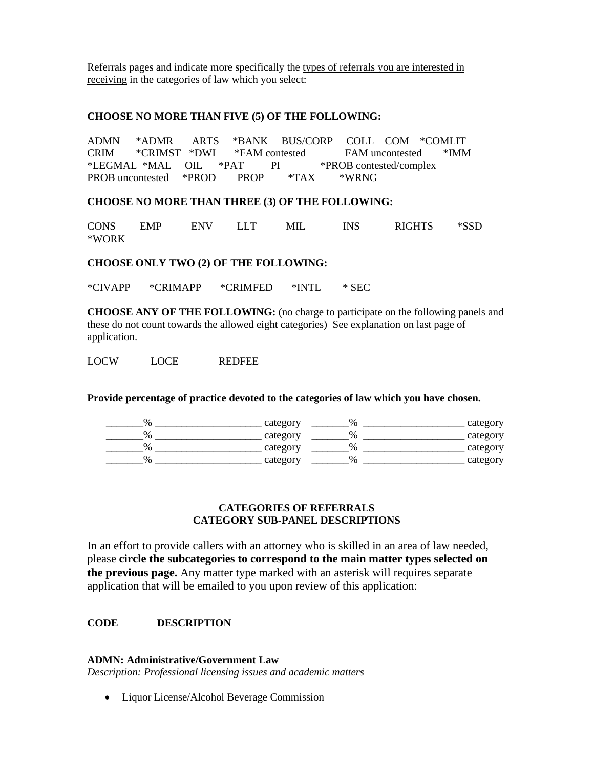Referrals pages and indicate more specifically the types of referrals you are interested in receiving in the categories of law which you select:

#### **CHOOSE NO MORE THAN FIVE (5) OF THE FOLLOWING:**

ADMN \*ADMR ARTS \*BANK BUS/CORP COLL COM \*COMLIT CRIM \*CRIMST \*DWI \*FAM contested FAM uncontested \*IMM<br>\*LEGMAL \*MAL OIL \*PAT PI \*PROB contested/complex PI \*PROB contested/complex PROB uncontested \*PROD PROP \*TAX \*WRNG

**CHOOSE NO MORE THAN THREE (3) OF THE FOLLOWING:**

CONS EMP ENV LLT MIL INS RIGHTS \*SSD \*WORK

**CHOOSE ONLY TWO (2) OF THE FOLLOWING:**

\*CIVAPP \*CRIMAPP \*CRIMFED \*INTL \* SEC

**CHOOSE ANY OF THE FOLLOWING:** (no charge to participate on the following panels and these do not count towards the allowed eight categories) See explanation on last page of application.

LOCW LOCE REDFEE

**Provide percentage of practice devoted to the categories of law which you have chosen.**

| $\frac{0}{6}$ | category | %                       | category |
|---------------|----------|-------------------------|----------|
| 0/            | category | $\frac{v}{0}$           | category |
| $\frac{0}{6}$ | category | $\mathsf{v}_\mathsf{n}$ | category |
| $\frac{0}{6}$ | category | $\frac{v}{0}$           | category |

### **CATEGORIES OF REFERRALS CATEGORY SUB-PANEL DESCRIPTIONS**

In an effort to provide callers with an attorney who is skilled in an area of law needed, please **circle the subcategories to correspond to the main matter types selected on the previous page.** Any matter type marked with an asterisk will requires separate application that will be emailed to you upon review of this application:

# **CODE DESCRIPTION**

#### **ADMN: Administrative/Government Law**

*Description: Professional licensing issues and academic matters*

• Liquor License/Alcohol Beverage Commission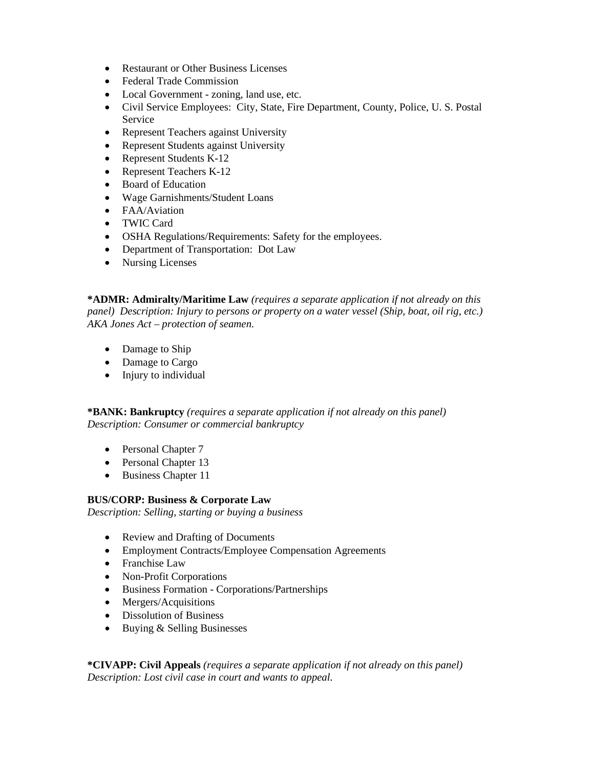- Restaurant or Other Business Licenses
- Federal Trade Commission
- Local Government zoning, land use, etc.
- Civil Service Employees: City, State, Fire Department, County, Police, U. S. Postal Service
- Represent Teachers against University
- Represent Students against University
- Represent Students K-12
- Represent Teachers K-12
- Board of Education
- Wage Garnishments/Student Loans
- FAA/Aviation
- TWIC Card
- OSHA Regulations/Requirements: Safety for the employees.
- Department of Transportation: Dot Law
- Nursing Licenses

**\*ADMR: Admiralty/Maritime Law** *(requires a separate application if not already on this panel) Description: Injury to persons or property on a water vessel (Ship, boat, oil rig, etc.) AKA Jones Act – protection of seamen.*

- Damage to Ship
- Damage to Cargo
- Injury to individual

**\*BANK: Bankruptcy** *(requires a separate application if not already on this panel) Description: Consumer or commercial bankruptcy* 

- Personal Chapter 7
- Personal Chapter 13
- Business Chapter 11

### **BUS/CORP: Business & Corporate Law**

*Description: Selling, starting or buying a business*

- Review and Drafting of Documents
- Employment Contracts/Employee Compensation Agreements
- Franchise Law
- Non-Profit Corporations
- Business Formation Corporations/Partnerships
- Mergers/Acquisitions
- Dissolution of Business
- Buying & Selling Businesses

**\*CIVAPP: Civil Appeals** *(requires a separate application if not already on this panel) Description: Lost civil case in court and wants to appeal.*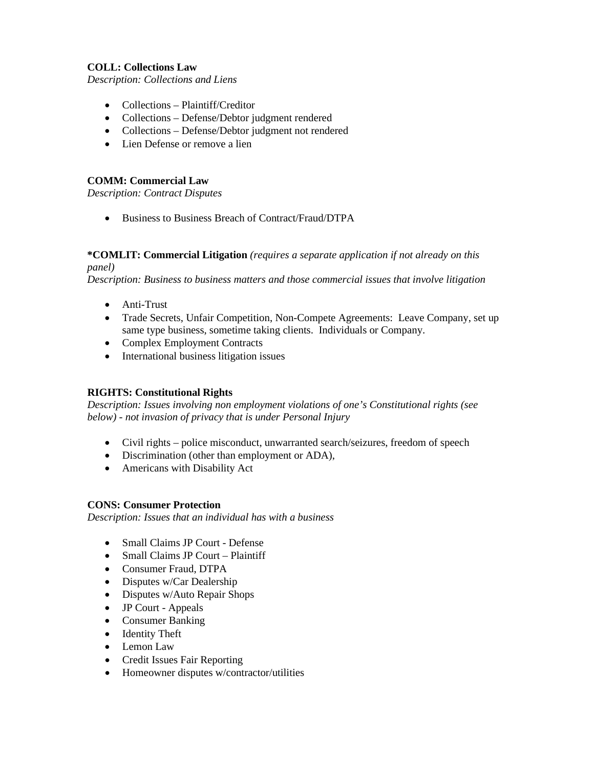### **COLL: Collections Law**

*Description: Collections and Liens*

- Collections Plaintiff/Creditor
- Collections Defense/Debtor judgment rendered
- Collections Defense/Debtor judgment not rendered
- Lien Defense or remove a lien

## **COMM: Commercial Law**

*Description: Contract Disputes*

• Business to Business Breach of Contract/Fraud/DTPA

#### **\*COMLIT: Commercial Litigation** *(requires a separate application if not already on this panel)*

*Description: Business to business matters and those commercial issues that involve litigation* 

- Anti-Trust
- Trade Secrets, Unfair Competition, Non-Compete Agreements: Leave Company, set up same type business, sometime taking clients. Individuals or Company.
- Complex Employment Contracts
- International business litigation issues

# **RIGHTS: Constitutional Rights**

*Description: Issues involving non employment violations of one's Constitutional rights (see below) - not invasion of privacy that is under Personal Injury* 

- Civil rights police misconduct, unwarranted search/seizures, freedom of speech
- Discrimination (other than employment or ADA),
- Americans with Disability Act

### **CONS: Consumer Protection**

*Description: Issues that an individual has with a business*

- Small Claims JP Court Defense
- Small Claims JP Court Plaintiff
- Consumer Fraud, DTPA
- Disputes w/Car Dealership
- Disputes w/Auto Repair Shops
- JP Court Appeals
- Consumer Banking
- Identity Theft
- Lemon Law
- Credit Issues Fair Reporting
- Homeowner disputes w/contractor/utilities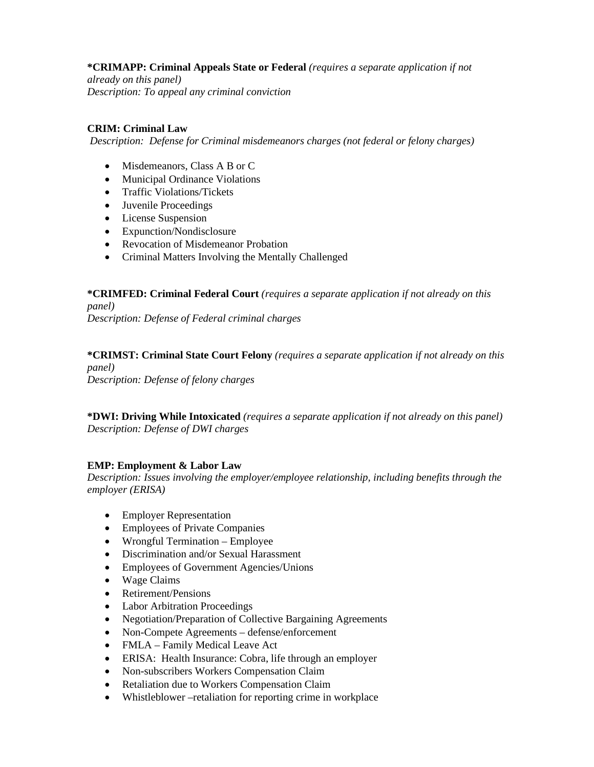## **\*CRIMAPP: Criminal Appeals State or Federal** *(requires a separate application if not*

*already on this panel) Description: To appeal any criminal conviction*

### **CRIM: Criminal Law**

*Description: Defense for Criminal misdemeanors charges (not federal or felony charges)*

- Misdemeanors, Class A B or C
- Municipal Ordinance Violations
- Traffic Violations/Tickets
- Juvenile Proceedings
- License Suspension
- Expunction/Nondisclosure
- Revocation of Misdemeanor Probation
- Criminal Matters Involving the Mentally Challenged

**\*CRIMFED: Criminal Federal Court** *(requires a separate application if not already on this panel)* 

*Description: Defense of Federal criminal charges* 

**\*CRIMST: Criminal State Court Felony** *(requires a separate application if not already on this panel)* 

*Description: Defense of felony charges*

**\*DWI: Driving While Intoxicated** *(requires a separate application if not already on this panel) Description: Defense of DWI charges*

# **EMP: Employment & Labor Law**

*Description: Issues involving the employer/employee relationship, including benefits through the employer (ERISA)*

- Employer Representation
- Employees of Private Companies
- Wrongful Termination Employee
- Discrimination and/or Sexual Harassment
- Employees of Government Agencies/Unions
- Wage Claims
- Retirement/Pensions
- Labor Arbitration Proceedings
- Negotiation/Preparation of Collective Bargaining Agreements
- Non-Compete Agreements defense/enforcement
- FMLA Family Medical Leave Act
- ERISA: Health Insurance: Cobra, life through an employer
- Non-subscribers Workers Compensation Claim
- Retaliation due to Workers Compensation Claim
- Whistleblower –retaliation for reporting crime in workplace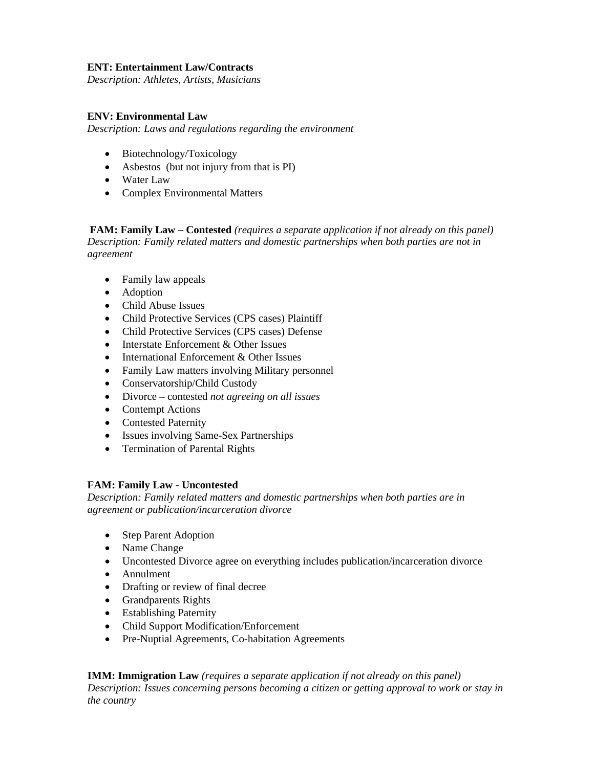### **ENT: Entertainment Law/Contracts**

*Description: Athletes, Artists, Musicians*

#### **ENV: Environmental Law**

*Description: Laws and regulations regarding the environment* 

- Biotechnology/Toxicology
- Asbestos (but not injury from that is PI)
- Water Law
- Complex Environmental Matters

**FAM: Family Law – Contested** *(requires a separate application if not already on this panel) Description: Family related matters and domestic partnerships when both parties are not in agreement*

- Family law appeals
- Adoption
- Child Abuse Issues
- Child Protective Services (CPS cases) Plaintiff
- Child Protective Services (CPS cases) Defense
- Interstate Enforcement & Other Issues
- International Enforcement & Other Issues
- Family Law matters involving Military personnel
- Conservatorship/Child Custody
- Divorce contested *not agreeing on all issues*
- Contempt Actions
- Contested Paternity
- Issues involving Same-Sex Partnerships
- Termination of Parental Rights

### **FAM: Family Law - Uncontested**

*Description: Family related matters and domestic partnerships when both parties are in agreement or publication/incarceration divorce*

- Step Parent Adoption
- Name Change
- Uncontested Divorce agree on everything includes publication/incarceration divorce
- Annulment
- Drafting or review of final decree
- Grandparents Rights
- Establishing Paternity
- Child Support Modification/Enforcement
- Pre-Nuptial Agreements, Co-habitation Agreements

**IMM: Immigration Law** *(requires a separate application if not already on this panel) Description: Issues concerning persons becoming a citizen or getting approval to work or stay in the country*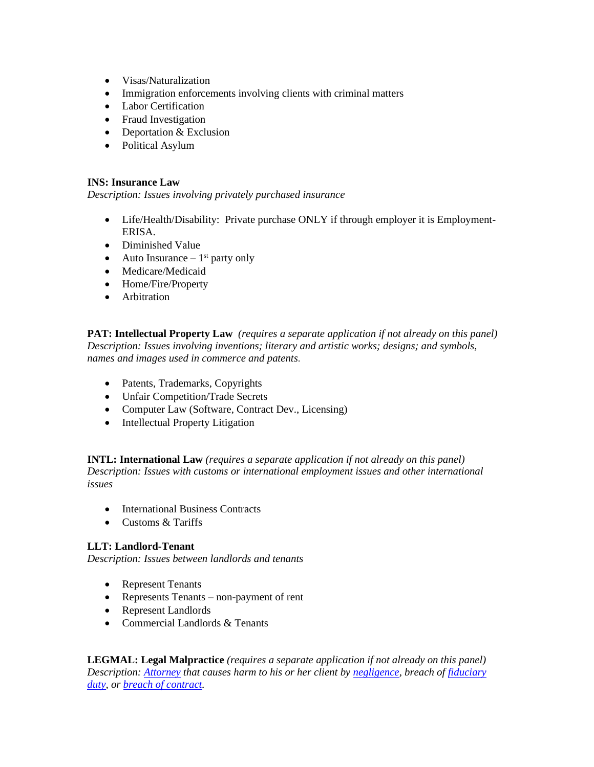- Visas/Naturalization
- Immigration enforcements involving clients with criminal matters
- Labor Certification
- Fraud Investigation
- Deportation & Exclusion
- Political Asylum

### **INS: Insurance Law**

*Description: Issues involving privately purchased insurance*

- Life/Health/Disability: Private purchase ONLY if through employer it is Employment-ERISA.
- Diminished Value
- Auto Insurance  $-1$ <sup>st</sup> party only
- Medicare/Medicaid
- Home/Fire/Property
- Arbitration

**PAT: Intellectual Property Law** *(requires a separate application if not already on this panel) Description: Issues involving inventions; literary and artistic works; designs; and symbols, names and images used in commerce and patents.*

- Patents, Trademarks, Copyrights
- Unfair Competition/Trade Secrets
- Computer Law (Software, Contract Dev., Licensing)
- Intellectual Property Litigation

**INTL: International Law** *(requires a separate application if not already on this panel) Description: Issues with customs or international employment issues and other international issues*

- International Business Contracts
- Customs & Tariffs

# **LLT: Landlord-Tenant**

*Description: Issues between landlords and tenants*

- Represent Tenants
- Represents Tenants non-payment of rent
- Represent Landlords
- Commercial Landlords & Tenants

**LEGMAL: Legal Malpractice** *(requires a separate application if not already on this panel) Description: [At](http://en.wikipedia.org/wiki/Lawyer)torney that causes harm to his or her client by [negligence,](http://en.wikipedia.org/wiki/Negligence) breach of [fiduciary](http://en.wikipedia.org/wiki/Fiduciary_duty)  [duty,](http://en.wikipedia.org/wiki/Fiduciary_duty) or [breach of contract.](http://en.wikipedia.org/wiki/Breach_of_contract)*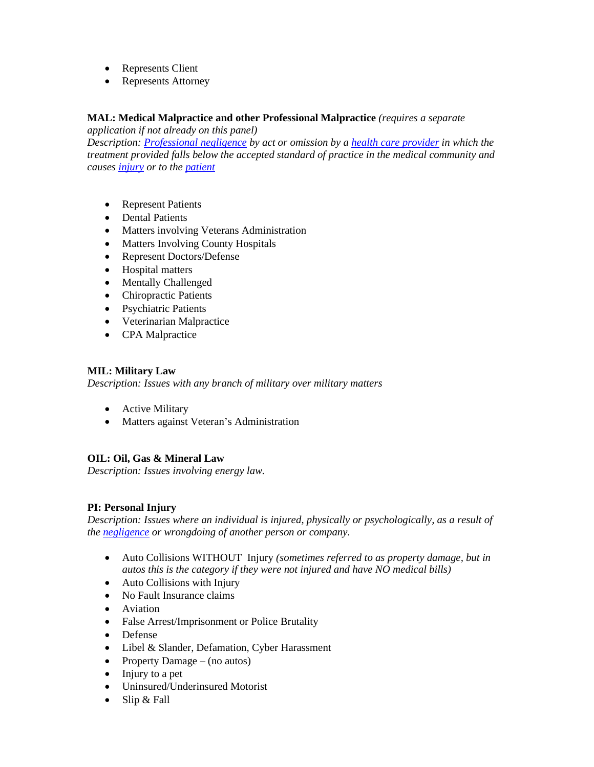- Represents Client
- Represents Attorney

### **MAL: Medical Malpractice and other Professional Malpractice** *(requires a separate*

*application if not already on this panel)* 

*Description: [Professional negligence](http://en.wikipedia.org/wiki/Professional_negligence) by act or omission by a [health care provider](http://en.wikipedia.org/wiki/Health_care_provider) in which the treatment provided falls below the accepted standard of practice in the medical community and causes [injury](http://en.wikipedia.org/wiki/Injury) or to the [patient](http://en.wikipedia.org/wiki/Patient)*

- Represent Patients
- Dental Patients
- Matters involving Veterans Administration
- Matters Involving County Hospitals
- Represent Doctors/Defense
- Hospital matters
- Mentally Challenged
- Chiropractic Patients
- Psychiatric Patients
- Veterinarian Malpractice
- CPA Malpractice

#### **MIL: Military Law**

*Description: Issues with any branch of military over military matters*

- Active Military
- Matters against Veteran's Administration

# **OIL: Oil, Gas & Mineral Law**

*Description: Issues involving energy law.* 

### **PI: Personal Injury**

*Description: Issues where an individual is injured, physically or psychologically, as a result of the [negligence](http://en.wikipedia.org/wiki/Negligence) or wrongdoing of another person or company.*

- Auto Collisions WITHOUT Injury *(sometimes referred to as property damage, but in autos this is the category if they were not injured and have NO medical bills)*
- Auto Collisions with Injury
- No Fault Insurance claims
- Aviation
- False Arrest/Imprisonment or Police Brutality
- Defense
- Libel & Slander, Defamation, Cyber Harassment
- Property Damage (no autos)
- Injury to a pet
- Uninsured/Underinsured Motorist
- Slip & Fall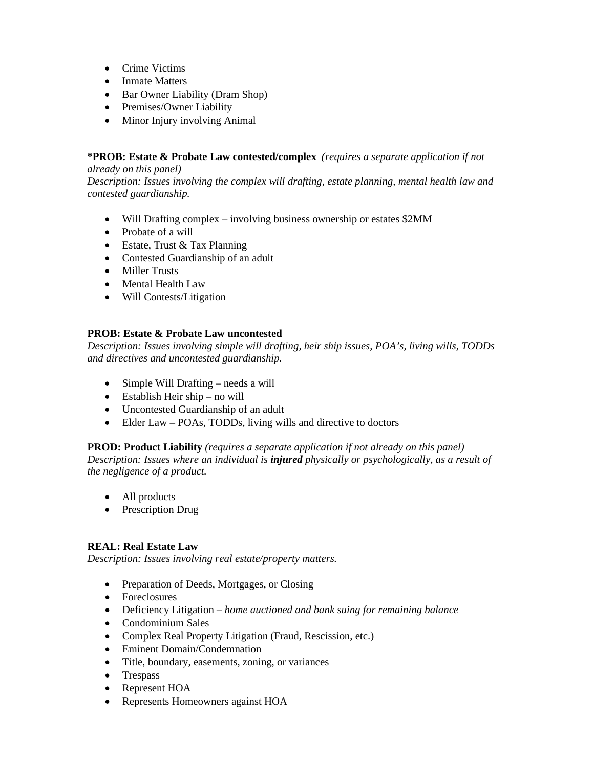- Crime Victims
- Inmate Matters
- Bar Owner Liability (Dram Shop)
- Premises/Owner Liability
- Minor Injury involving Animal

## **\*PROB: Estate & Probate Law contested/complex** *(requires a separate application if not*

*already on this panel) Description: Issues involving the complex will drafting, estate planning, mental health law and contested guardianship.*

- Will Drafting complex involving business ownership or estates \$2MM
- Probate of a will
- Estate, Trust & Tax Planning
- Contested Guardianship of an adult
- Miller Trusts
- Mental Health Law
- Will Contests/Litigation

### **PROB: Estate & Probate Law uncontested**

*Description: Issues involving simple will drafting, heir ship issues, POA's, living wills, TODDs and directives and uncontested guardianship.*

- Simple Will Drafting needs a will
- Establish Heir ship no will
- Uncontested Guardianship of an adult
- Elder Law POAs, TODDs, living wills and directive to doctors

### **PROD: Product Liability** *(requires a separate application if not already on this panel)*

*Description: Issues where an individual is injured physically or psychologically, as a result of the negligence of a product.*

- All products
- Prescription Drug

### **REAL: Real Estate Law**

*Description: Issues involving real estate/property matters.*

- Preparation of Deeds, Mortgages, or Closing
- Foreclosures
- Deficiency Litigation *home auctioned and bank suing for remaining balance*
- Condominium Sales
- Complex Real Property Litigation (Fraud, Rescission, etc.)
- Eminent Domain/Condemnation
- Title, boundary, easements, zoning, or variances
- Trespass
- Represent HOA
- Represents Homeowners against HOA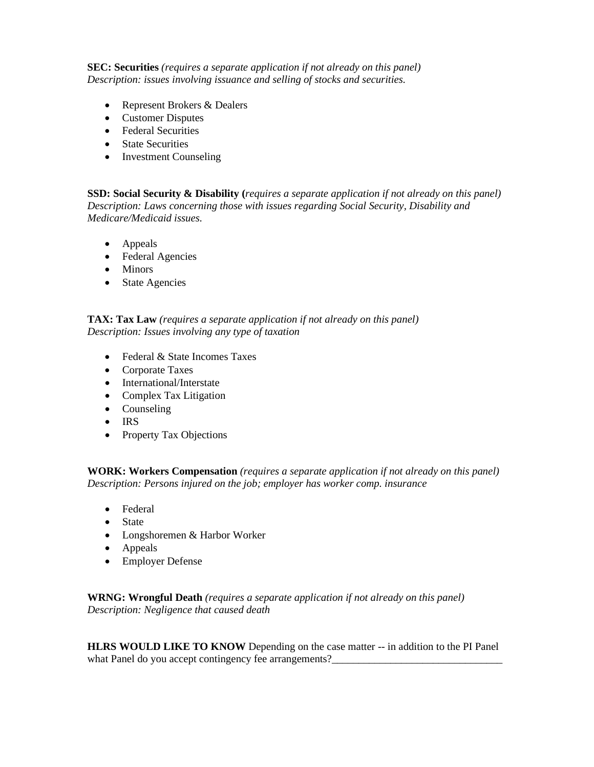**SEC: Securities** *(requires a separate application if not already on this panel) Description: issues involving issuance and selling of stocks and securities.*

- Represent Brokers & Dealers
- Customer Disputes
- Federal Securities
- State Securities
- Investment Counseling

**SSD: Social Security & Disability (***requires a separate application if not already on this panel) Description: Laws concerning those with issues regarding Social Security, Disability and Medicare/Medicaid issues.*

- Appeals
- Federal Agencies
- Minors
- State Agencies

### **TAX: Tax Law** *(requires a separate application if not already on this panel) Description: Issues involving any type of taxation*

- Federal & State Incomes Taxes
- Corporate Taxes
- International/Interstate
- Complex Tax Litigation
- Counseling
- IRS
- Property Tax Objections

**WORK: Workers Compensation** *(requires a separate application if not already on this panel) Description: Persons injured on the job; employer has worker comp. insurance*

- Federal
- State
- Longshoremen & Harbor Worker
- Appeals
- Employer Defense

**WRNG: Wrongful Death** *(requires a separate application if not already on this panel) Description: Negligence that caused death*

**HLRS WOULD LIKE TO KNOW** Depending on the case matter -- in addition to the PI Panel what Panel do you accept contingency fee arrangements?